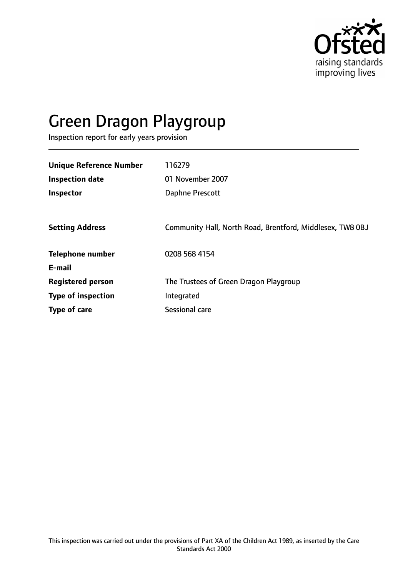

# Green Dragon Playgroup

Inspection report for early years provision

| <b>Unique Reference Number</b> | 116279                                                    |
|--------------------------------|-----------------------------------------------------------|
| <b>Inspection date</b>         | 01 November 2007                                          |
| Inspector                      | Daphne Prescott                                           |
|                                |                                                           |
| <b>Setting Address</b>         | Community Hall, North Road, Brentford, Middlesex, TW8 0BJ |
| <b>Telephone number</b>        | 0208 568 4154                                             |
| E-mail                         |                                                           |
| <b>Registered person</b>       | The Trustees of Green Dragon Playgroup                    |
| <b>Type of inspection</b>      | Integrated                                                |
| <b>Type of care</b>            | Sessional care                                            |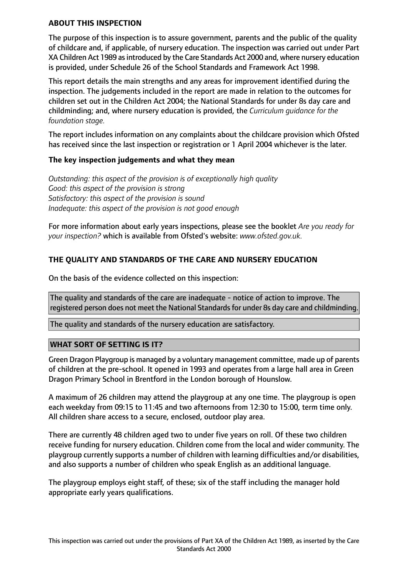#### **ABOUT THIS INSPECTION**

The purpose of this inspection is to assure government, parents and the public of the quality of childcare and, if applicable, of nursery education. The inspection was carried out under Part XA Children Act 1989 asintroduced by the Care Standards Act 2000 and, where nursery education is provided, under Schedule 26 of the School Standards and Framework Act 1998.

This report details the main strengths and any areas for improvement identified during the inspection. The judgements included in the report are made in relation to the outcomes for children set out in the Children Act 2004; the National Standards for under 8s day care and childminding; and, where nursery education is provided, the *Curriculum guidance for the foundation stage.*

The report includes information on any complaints about the childcare provision which Ofsted has received since the last inspection or registration or 1 April 2004 whichever is the later.

## **The key inspection judgements and what they mean**

*Outstanding: this aspect of the provision is of exceptionally high quality Good: this aspect of the provision is strong Satisfactory: this aspect of the provision is sound Inadequate: this aspect of the provision is not good enough*

For more information about early years inspections, please see the booklet *Are you ready for your inspection?* which is available from Ofsted's website: *www.ofsted.gov.uk.*

## **THE QUALITY AND STANDARDS OF THE CARE AND NURSERY EDUCATION**

On the basis of the evidence collected on this inspection:

The quality and standards of the care are inadequate - notice of action to improve. The registered person does not meet the National Standards for under 8s day care and childminding.

The quality and standards of the nursery education are satisfactory.

## **WHAT SORT OF SETTING IS IT?**

Green Dragon Playgroup is managed by a voluntary management committee, made up of parents of children at the pre-school. It opened in 1993 and operates from a large hall area in Green Dragon Primary School in Brentford in the London borough of Hounslow.

A maximum of 26 children may attend the playgroup at any one time. The playgroup is open each weekday from 09:15 to 11:45 and two afternoons from 12:30 to 15:00, term time only. All children share access to a secure, enclosed, outdoor play area.

There are currently 48 children aged two to under five years on roll. Of these two children receive funding for nursery education. Children come from the local and wider community. The playgroup currently supports a number of children with learning difficulties and/or disabilities, and also supports a number of children who speak English as an additional language.

The playgroup employs eight staff, of these; six of the staff including the manager hold appropriate early years qualifications.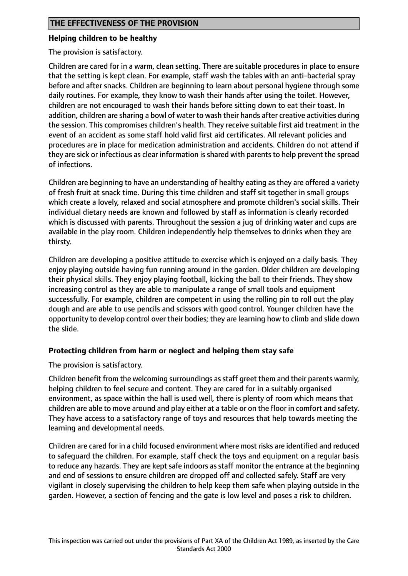#### **Helping children to be healthy**

The provision is satisfactory.

Children are cared for in a warm, clean setting. There are suitable procedures in place to ensure that the setting is kept clean. For example, staff wash the tables with an anti-bacterial spray before and after snacks. Children are beginning to learn about personal hygiene through some daily routines. For example, they know to wash their hands after using the toilet. However, children are not encouraged to wash their hands before sitting down to eat their toast. In addition, children are sharing a bowl of water to wash their hands after creative activities during the session. This compromises children's health. They receive suitable first aid treatment in the event of an accident as some staff hold valid first aid certificates. All relevant policies and procedures are in place for medication administration and accidents. Children do not attend if they are sick or infectious as clear information is shared with parents to help prevent the spread of infections.

Children are beginning to have an understanding of healthy eating as they are offered a variety of fresh fruit at snack time. During this time children and staff sit together in small groups which create a lovely, relaxed and social atmosphere and promote children's social skills. Their individual dietary needs are known and followed by staff as information is clearly recorded which is discussed with parents. Throughout the session a jug of drinking water and cups are available in the play room. Children independently help themselves to drinks when they are thirsty.

Children are developing a positive attitude to exercise which is enjoyed on a daily basis. They enjoy playing outside having fun running around in the garden. Older children are developing their physical skills. They enjoy playing football, kicking the ball to their friends. They show increasing control as they are able to manipulate a range of small tools and equipment successfully. For example, children are competent in using the rolling pin to roll out the play dough and are able to use pencils and scissors with good control. Younger children have the opportunity to develop control over their bodies; they are learning how to climb and slide down the slide.

## **Protecting children from harm or neglect and helping them stay safe**

The provision is satisfactory.

Children benefit from the welcoming surroundings as staff greet them and their parents warmly, helping children to feel secure and content. They are cared for in a suitably organised environment, as space within the hall is used well, there is plenty of room which means that children are able to move around and play either at a table or on the floor in comfort and safety. They have access to a satisfactory range of toys and resources that help towards meeting the learning and developmental needs.

Children are cared for in a child focused environment where most risks are identified and reduced to safeguard the children. For example, staff check the toys and equipment on a regular basis to reduce any hazards. They are kept safe indoors as staff monitor the entrance at the beginning and end of sessions to ensure children are dropped off and collected safely. Staff are very vigilant in closely supervising the children to help keep them safe when playing outside in the garden. However, a section of fencing and the gate is low level and poses a risk to children.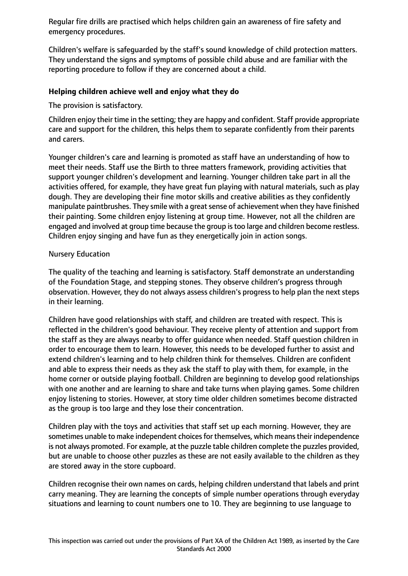Regular fire drills are practised which helps children gain an awareness of fire safety and emergency procedures.

Children's welfare is safeguarded by the staff's sound knowledge of child protection matters. They understand the signs and symptoms of possible child abuse and are familiar with the reporting procedure to follow if they are concerned about a child.

## **Helping children achieve well and enjoy what they do**

The provision is satisfactory.

Children enjoy their time in the setting; they are happy and confident. Staff provide appropriate care and support for the children, this helps them to separate confidently from their parents and carers.

Younger children's care and learning is promoted as staff have an understanding of how to meet their needs. Staff use the Birth to three matters framework, providing activities that support younger children's development and learning. Younger children take part in all the activities offered, for example, they have great fun playing with natural materials, such as play dough. They are developing their fine motor skills and creative abilities as they confidently manipulate paintbrushes. They smile with a great sense of achievement when they have finished their painting. Some children enjoy listening at group time. However, not all the children are engaged and involved at group time because the group istoo large and children become restless. Children enjoy singing and have fun as they energetically join in action songs.

## Nursery Education

The quality of the teaching and learning is satisfactory. Staff demonstrate an understanding of the Foundation Stage, and stepping stones. They observe children's progress through observation. However, they do not always assess children's progress to help plan the next steps in their learning.

Children have good relationships with staff, and children are treated with respect. This is reflected in the children's good behaviour. They receive plenty of attention and support from the staff as they are always nearby to offer guidance when needed. Staff question children in order to encourage them to learn. However, this needs to be developed further to assist and extend children's learning and to help children think for themselves. Children are confident and able to express their needs as they ask the staff to play with them, for example, in the home corner or outside playing football. Children are beginning to develop good relationships with one another and are learning to share and take turns when playing games. Some children enjoy listening to stories. However, at story time older children sometimes become distracted as the group is too large and they lose their concentration.

Children play with the toys and activities that staff set up each morning. However, they are sometimes unable to make independent choices for themselves, which means their independence is not always promoted. For example, at the puzzle table children complete the puzzles provided, but are unable to choose other puzzles as these are not easily available to the children as they are stored away in the store cupboard.

Children recognise their own names on cards, helping children understand that labels and print carry meaning. They are learning the concepts of simple number operations through everyday situations and learning to count numbers one to 10. They are beginning to use language to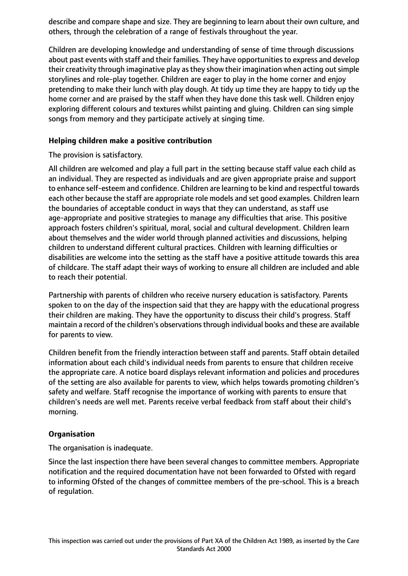describe and compare shape and size. They are beginning to learn about their own culture, and others, through the celebration of a range of festivals throughout the year.

Children are developing knowledge and understanding of sense of time through discussions about past events with staff and their families. They have opportunities to express and develop their creativity through imaginative play as they show their imagination when acting out simple storylines and role-play together. Children are eager to play in the home corner and enjoy pretending to make their lunch with play dough. At tidy up time they are happy to tidy up the home corner and are praised by the staff when they have done this task well. Children enjoy exploring different colours and textures whilst painting and gluing. Children can sing simple songs from memory and they participate actively at singing time.

## **Helping children make a positive contribution**

The provision is satisfactory.

All children are welcomed and play a full part in the setting because staff value each child as an individual. They are respected as individuals and are given appropriate praise and support to enhance self-esteem and confidence. Children are learning to be kind and respectful towards each other because the staff are appropriate role models and set good examples. Children learn the boundaries of acceptable conduct in ways that they can understand, as staff use age-appropriate and positive strategies to manage any difficulties that arise. This positive approach fosters children's spiritual, moral, social and cultural development. Children learn about themselves and the wider world through planned activities and discussions, helping children to understand different cultural practices. Children with learning difficulties or disabilities are welcome into the setting as the staff have a positive attitude towards this area of childcare. The staff adapt their ways of working to ensure all children are included and able to reach their potential.

Partnership with parents of children who receive nursery education is satisfactory. Parents spoken to on the day of the inspection said that they are happy with the educational progress their children are making. They have the opportunity to discuss their child's progress. Staff maintain a record of the children's observationsthrough individual books and these are available for parents to view.

Children benefit from the friendly interaction between staff and parents. Staff obtain detailed information about each child's individual needs from parents to ensure that children receive the appropriate care. A notice board displays relevant information and policies and procedures of the setting are also available for parents to view, which helps towards promoting children's safety and welfare. Staff recognise the importance of working with parents to ensure that children's needs are well met. Parents receive verbal feedback from staff about their child's morning.

#### **Organisation**

The organisation is inadequate.

Since the last inspection there have been several changes to committee members. Appropriate notification and the required documentation have not been forwarded to Ofsted with regard to informing Ofsted of the changes of committee members of the pre-school. This is a breach of regulation.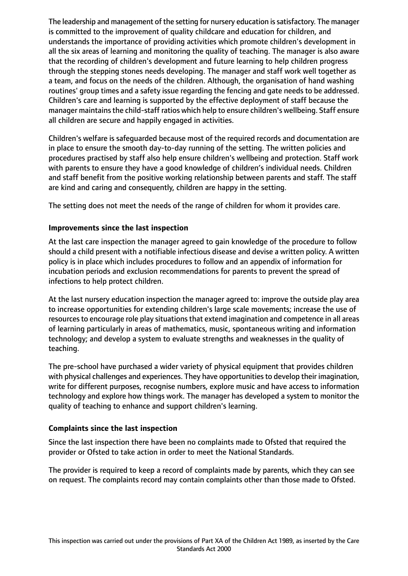The leadership and management of the setting for nursery education is satisfactory. The manager is committed to the improvement of quality childcare and education for children, and understands the importance of providing activities which promote children's development in all the six areas of learning and monitoring the quality of teaching. The manager is also aware that the recording of children's development and future learning to help children progress through the stepping stones needs developing. The manager and staff work well together as a team, and focus on the needs of the children. Although, the organisation of hand washing routines' group times and a safety issue regarding the fencing and gate needs to be addressed. Children's care and learning is supported by the effective deployment of staff because the manager maintains the child-staff ratios which help to ensure children's wellbeing. Staff ensure all children are secure and happily engaged in activities.

Children's welfare is safeguarded because most of the required records and documentation are in place to ensure the smooth day-to-day running of the setting. The written policies and procedures practised by staff also help ensure children's wellbeing and protection. Staff work with parents to ensure they have a good knowledge of children's individual needs. Children and staff benefit from the positive working relationship between parents and staff. The staff are kind and caring and consequently, children are happy in the setting.

The setting does not meet the needs of the range of children for whom it provides care.

## **Improvements since the last inspection**

At the last care inspection the manager agreed to gain knowledge of the procedure to follow should a child present with a notifiable infectious disease and devise a written policy. A written policy is in place which includes procedures to follow and an appendix of information for incubation periods and exclusion recommendations for parents to prevent the spread of infections to help protect children.

At the last nursery education inspection the manager agreed to: improve the outside play area to increase opportunities for extending children's large scale movements; increase the use of resources to encourage role play situations that extend imagination and competence in all areas of learning particularly in areas of mathematics, music, spontaneous writing and information technology; and develop a system to evaluate strengths and weaknesses in the quality of teaching.

The pre-school have purchased a wider variety of physical equipment that provides children with physical challenges and experiences. They have opportunities to develop their imagination, write for different purposes, recognise numbers, explore music and have access to information technology and explore how things work. The manager has developed a system to monitor the quality of teaching to enhance and support children's learning.

## **Complaints since the last inspection**

Since the last inspection there have been no complaints made to Ofsted that required the provider or Ofsted to take action in order to meet the National Standards.

The provider is required to keep a record of complaints made by parents, which they can see on request. The complaints record may contain complaints other than those made to Ofsted.